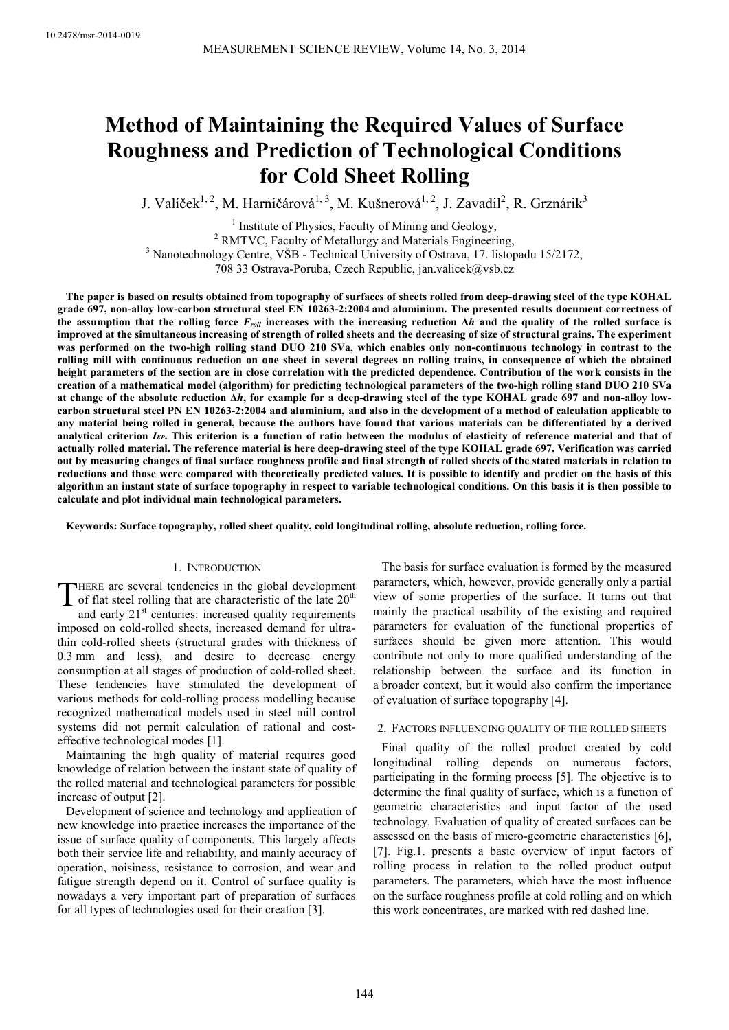# **Method of Maintaining the Required Values of Surface Roughness and Prediction of Technological Conditions for Cold Sheet Rolling**

J. Valíček<sup>1, 2</sup>, M. Harničárová<sup>1, 3</sup>, M. Kušnerová<sup>1, 2</sup>, J. Zavadil<sup>2</sup>, R. Grznárik<sup>3</sup>

<sup>1</sup> Institute of Physics, Faculty of Mining and Geology, <sup>2</sup> RMTVC, Faculty of Metallurgy and Materials Engineering,

<sup>3</sup> Nanotechnology Centre, VŠB - Technical University of Ostrava, 17. listopadu 15/2172,

708 33 Ostrava-Poruba, Czech Republic, jan.valicek@vsb.cz

**The paper is based on results obtained from topography of surfaces of sheets rolled from deep-drawing steel of the type KOHAL grade 697, non-alloy low-carbon structural steel EN 10263-2:2004 and aluminium. The presented results document correctness of the assumption that the rolling force** *Froll* **increases with the increasing reduction ∆***h* **and the quality of the rolled surface is improved at the simultaneous increasing of strength of rolled sheets and the decreasing of size of structural grains. The experiment was performed on the two-high rolling stand DUO 210 SVa, which enables only non-continuous technology in contrast to the rolling mill with continuous reduction on one sheet in several degrees on rolling trains, in consequence of which the obtained height parameters of the section are in close correlation with the predicted dependence. Contribution of the work consists in the creation of a mathematical model (algorithm) for predicting technological parameters of the two-high rolling stand DUO 210 SVa at change of the absolute reduction ∆***h***, for example for a deep-drawing steel of the type KOHAL grade 697 and non-alloy lowcarbon structural steel PN EN 10263-2:2004 and aluminium, and also in the development of a method of calculation applicable to any material being rolled in general, because the authors have found that various materials can be differentiated by a derived analytical criterion** *IKP***. This criterion is a function of ratio between the modulus of elasticity of reference material and that of actually rolled material. The reference material is here deep-drawing steel of the type KOHAL grade 697. Verification was carried out by measuring changes of final surface roughness profile and final strength of rolled sheets of the stated materials in relation to reductions and those were compared with theoretically predicted values. It is possible to identify and predict on the basis of this algorithm an instant state of surface topography in respect to variable technological conditions. On this basis it is then possible to calculate and plot individual main technological parameters.**

**Keywords: Surface topography, rolled sheet quality, cold longitudinal rolling, absolute reduction, rolling force.**

## 1. INTRODUCTION

HERE are several tendencies in the global development THERE are several tendencies in the global development<br>of flat steel rolling that are characteristic of the late  $20^{th}$ <br>and orly  $21^{st}$  conturior increased quality requirements

and early  $21<sup>st</sup>$  centuries: increased quality requirements imposed on cold-rolled sheets, increased demand for ultrathin cold-rolled sheets (structural grades with thickness of 0.3 mm and less), and desire to decrease energy consumption at all stages of production of cold-rolled sheet. These tendencies have stimulated the development of various methods for cold-rolling process modelling because recognized mathematical models used in steel mill control systems did not permit calculation of rational and costeffective technological modes [1].

Maintaining the high quality of material requires good knowledge of relation between the instant state of quality of the rolled material and technological parameters for possible increase of output [2].

Development of science and technology and application of new knowledge into practice increases the importance of the issue of surface quality of components. This largely affects both their service life and reliability, and mainly accuracy of operation, noisiness, resistance to corrosion, and wear and fatigue strength depend on it. Control of surface quality is nowadays a very important part of preparation of surfaces for all types of technologies used for their creation [3].

The basis for surface evaluation is formed by the measured parameters, which, however, provide generally only a partial view of some properties of the surface. It turns out that mainly the practical usability of the existing and required parameters for evaluation of the functional properties of surfaces should be given more attention. This would contribute not only to more qualified understanding of the relationship between the surface and its function in a broader context, but it would also confirm the importance of evaluation of surface topography [4].

## 2. FACTORS INFLUENCING QUALITY OF THE ROLLED SHEETS

Final quality of the rolled product created by cold longitudinal rolling depends on numerous factors, participating in the forming process [5]. The objective is to determine the final quality of surface, which is a function of geometric characteristics and input factor of the used technology. Evaluation of quality of created surfaces can be assessed on the basis of micro-geometric characteristics [6], [7]. Fig.1. presents a basic overview of input factors of rolling process in relation to the rolled product output parameters. The parameters, which have the most influence on the surface roughness profile at cold rolling and on which this work concentrates, are marked with red dashed line.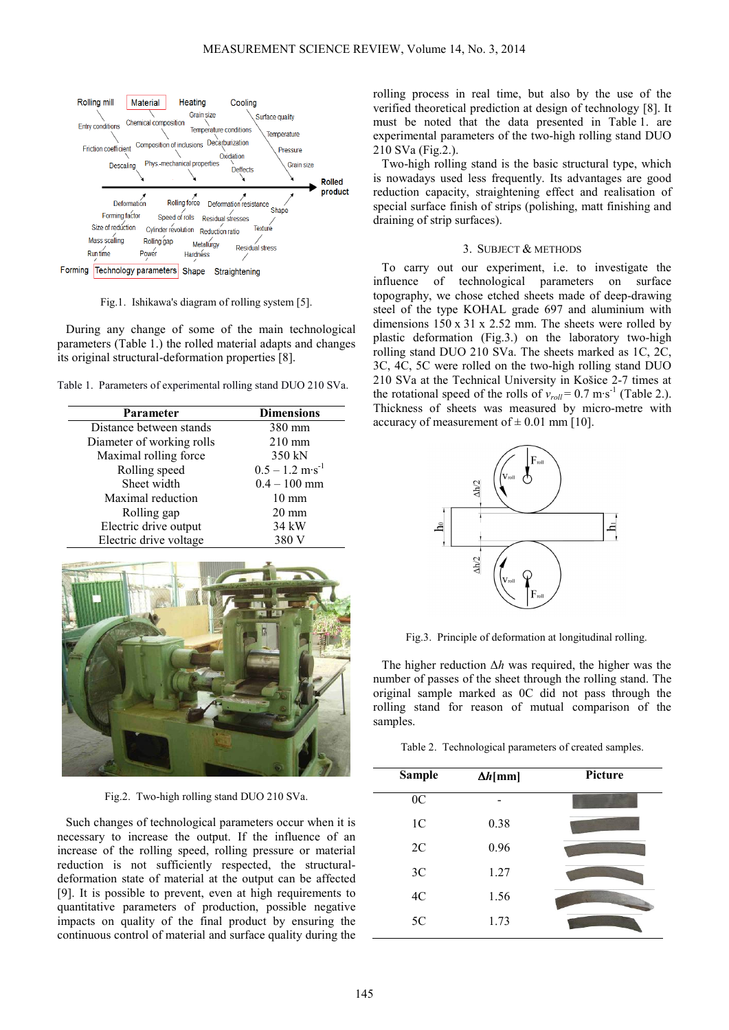

Fig.1. Ishikawa's diagram of rolling system [5].

During any change of some of the main technological parameters (Table 1.) the rolled material adapts and changes its original structural-deformation properties [8].

Table 1. Parameters of experimental rolling stand DUO 210 SVa.

| Parameter                 | <b>Dimensions</b>             |
|---------------------------|-------------------------------|
| Distance between stands   | 380 mm                        |
| Diameter of working rolls | $210 \text{ mm}$              |
| Maximal rolling force     | 350 kN                        |
| Rolling speed             | $0.5 - 1.2$ m·s <sup>-1</sup> |
| Sheet width               | $0.4 - 100$ mm                |
| Maximal reduction         | $10 \text{ mm}$               |
| Rolling gap               | $20 \text{ mm}$               |
| Electric drive output     | 34 kW                         |
| Electric drive voltage    | 380 V                         |



Fig.2. Two-high rolling stand DUO 210 SVa.

Such changes of technological parameters occur when it is necessary to increase the output. If the influence of an increase of the rolling speed, rolling pressure or material reduction is not sufficiently respected, the structuraldeformation state of material at the output can be affected [9]. It is possible to prevent, even at high requirements to quantitative parameters of production, possible negative impacts on quality of the final product by ensuring the continuous control of material and surface quality during the rolling process in real time, but also by the use of the verified theoretical prediction at design of technology [8]. It must be noted that the data presented in Table 1. are experimental parameters of the two-high rolling stand DUO 210 SVa (Fig.2.).

Two-high rolling stand is the basic structural type, which is nowadays used less frequently. Its advantages are good reduction capacity, straightening effect and realisation of special surface finish of strips (polishing, matt finishing and draining of strip surfaces).

### 3. SUBJECT & METHODS

To carry out our experiment, i.e. to investigate the influence of technological parameters on surface topography, we chose etched sheets made of deep-drawing steel of the type KOHAL grade 697 and aluminium with dimensions 150 x 31 x 2.52 mm. The sheets were rolled by plastic deformation (Fig.3.) on the laboratory two-high rolling stand DUO 210 SVa. The sheets marked as 1C, 2C, 3C, 4C, 5C were rolled on the two-high rolling stand DUO 210 SVa at the Technical University in Košice 2-7 times at the rotational speed of the rolls of  $v_{roll} = 0.7 \text{ m} \cdot \text{s}^{-1}$  (Table 2.). Thickness of sheets was measured by micro-metre with accuracy of measurement of  $\pm$  0.01 mm [10].



Fig.3. Principle of deformation at longitudinal rolling.

The higher reduction ∆*h* was required, the higher was the number of passes of the sheet through the rolling stand. The original sample marked as 0C did not pass through the rolling stand for reason of mutual comparison of the samples.

Table 2. Technological parameters of created samples.

| <b>Sample</b><br>$\Delta h$ [mm] |      | <b>Picture</b> |
|----------------------------------|------|----------------|
| 0 <sup>C</sup>                   |      |                |
| 1 <sup>C</sup>                   | 0.38 |                |
| 2C                               | 0.96 |                |
| 3C                               | 1.27 |                |
| 4C                               | 1.56 |                |
| 5C                               | 1.73 |                |
|                                  |      |                |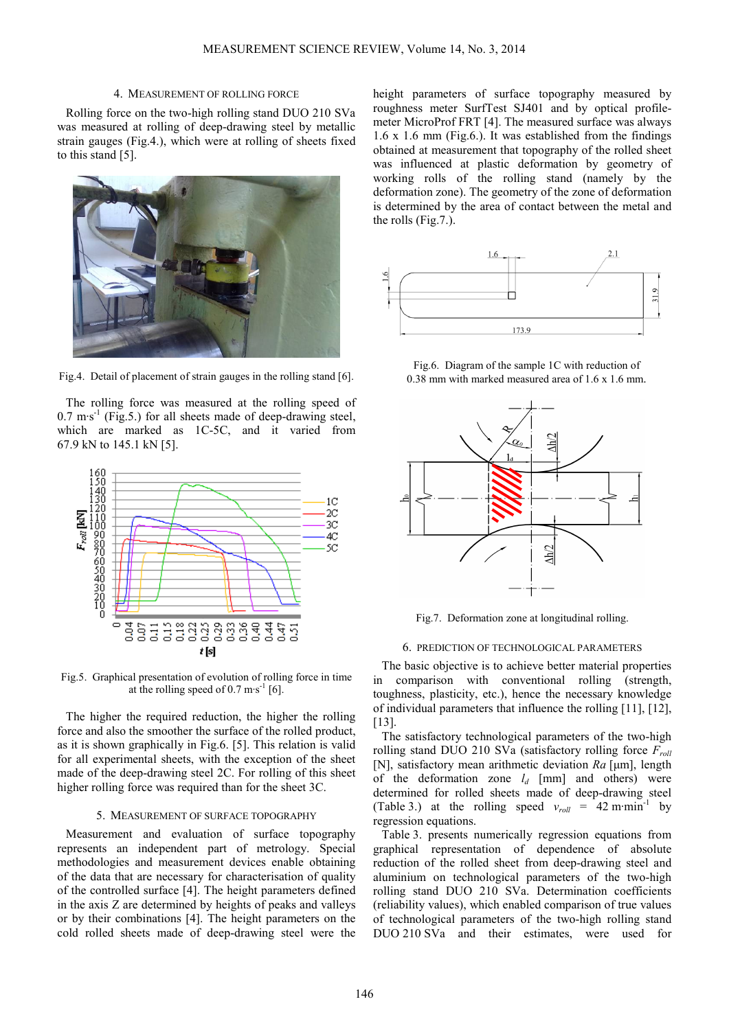#### 4. MEASUREMENT OF ROLLING FORCE

Rolling force on the two-high rolling stand DUO 210 SVa was measured at rolling of deep-drawing steel by metallic strain gauges (Fig.4.), which were at rolling of sheets fixed to this stand [5].



Fig.4. Detail of placement of strain gauges in the rolling stand [6].

The rolling force was measured at the rolling speed of  $0.7 \text{ m·s}^{-1}$  (Fig.5.) for all sheets made of deep-drawing steel, which are marked as 1C-5C, and it varied from 67.9 kN to 145.1 kN [5].



Fig.5. Graphical presentation of evolution of rolling force in time at the rolling speed of 0.7 m·s<sup>-1</sup> [6].

The higher the required reduction, the higher the rolling force and also the smoother the surface of the rolled product, as it is shown graphically in Fig.6. [5]. This relation is valid for all experimental sheets, with the exception of the sheet made of the deep-drawing steel 2C. For rolling of this sheet higher rolling force was required than for the sheet 3C.

#### 5. MEASUREMENT OF SURFACE TOPOGRAPHY

Measurement and evaluation of surface topography represents an independent part of metrology. Special methodologies and measurement devices enable obtaining of the data that are necessary for characterisation of quality of the controlled surface [4]. The height parameters defined in the axis Z are determined by heights of peaks and valleys or by their combinations [4]. The height parameters on the cold rolled sheets made of deep-drawing steel were the height parameters of surface topography measured by roughness meter SurfTest SJ401 and by optical profilemeter MicroProf FRT [4]. The measured surface was always 1.6 x 1.6 mm (Fig.6.). It was established from the findings obtained at measurement that topography of the rolled sheet was influenced at plastic deformation by geometry of working rolls of the rolling stand (namely by the deformation zone). The geometry of the zone of deformation is determined by the area of contact between the metal and the rolls (Fig.7.).



Fig.6. Diagram of the sample 1C with reduction of 0.38 mm with marked measured area of 1.6 x 1.6 mm.



Fig.7. Deformation zone at longitudinal rolling.

#### 6. PREDICTION OF TECHNOLOGICAL PARAMETERS

The basic objective is to achieve better material properties in comparison with conventional rolling (strength, toughness, plasticity, etc.), hence the necessary knowledge of individual parameters that influence the rolling [11], [12], [13].

The satisfactory technological parameters of the two-high rolling stand DUO 210 SVa (satisfactory rolling force *Froll* [N], satisfactory mean arithmetic deviation *Ra* [µm], length of the deformation zone  $l_d$  [mm] and others) were determined for rolled sheets made of deep-drawing steel (Table 3.) at the rolling speed  $v_{roll}$  = 42 m·min<sup>-1</sup> by regression equations.

Table 3. presents numerically regression equations from graphical representation of dependence of absolute reduction of the rolled sheet from deep-drawing steel and aluminium on technological parameters of the two-high rolling stand DUO 210 SVa. Determination coefficients (reliability values), which enabled comparison of true values of technological parameters of the two-high rolling stand DUO 210 SVa and their estimates, were used for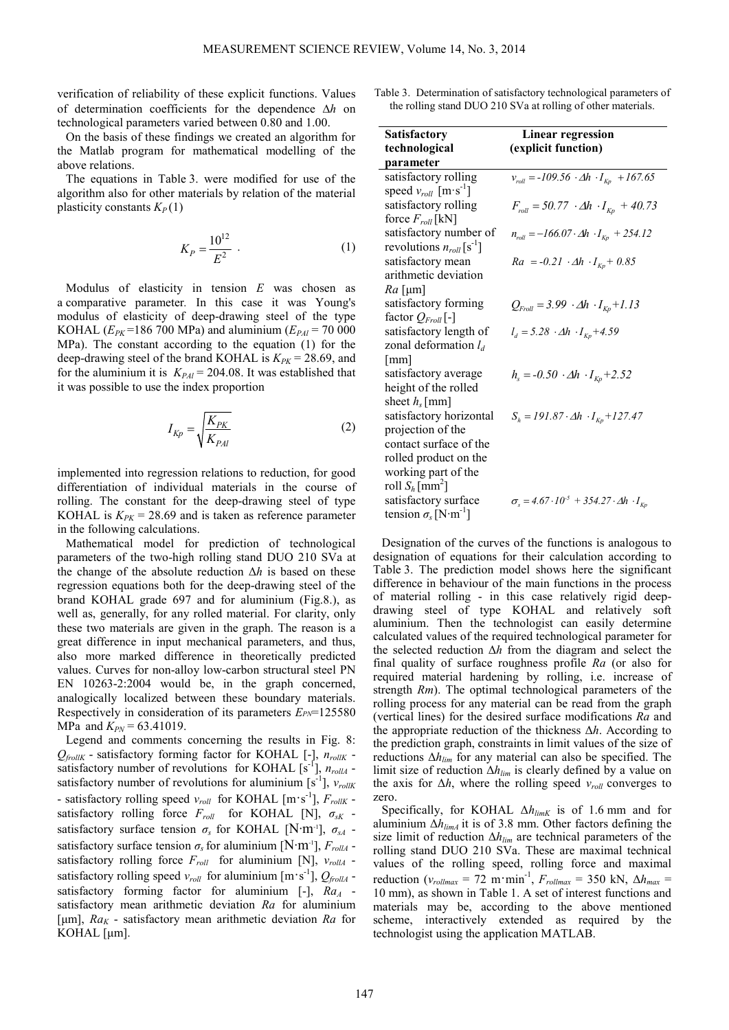verification of reliability of these explicit functions. Values of determination coefficients for the dependence ∆*h* on technological parameters varied between 0.80 and 1.00.

On the basis of these findings we created an algorithm for the Matlab program for mathematical modelling of the above relations.

The equations in Table 3. were modified for use of the algorithm also for other materials by relation of the material plasticity constants  $K_P(1)$ 

$$
K_P = \frac{10^{12}}{E^2} \tag{1}
$$

Modulus of elasticity in tension *E* was chosen as a comparative parameter*.* In this case it was Young's modulus of elasticity of deep-drawing steel of the type KOHAL ( $E_{PK}$ =186 700 MPa) and aluminium ( $E_{PAI}$  = 70 000 MPa). The constant according to the equation (1) for the deep-drawing steel of the brand KOHAL is  $K_{PK} = 28.69$ , and for the aluminium it is  $K_{PAI} = 204.08$ . It was established that it was possible to use the index proportion

$$
I_{Kp} = \sqrt{\frac{K_{PK}}{K_{PAI}}} \tag{2}
$$

implemented into regression relations to reduction, for good differentiation of individual materials in the course of rolling. The constant for the deep-drawing steel of type KOHAL is  $K_{PK}$  = 28.69 and is taken as reference parameter in the following calculations.

Mathematical model for prediction of technological parameters of the two-high rolling stand DUO 210 SVa at the change of the absolute reduction ∆*h* is based on these regression equations both for the deep-drawing steel of the brand KOHAL grade 697 and for aluminium (Fig.8.), as well as, generally, for any rolled material. For clarity, only these two materials are given in the graph. The reason is a great difference in input mechanical parameters, and thus, also more marked difference in theoretically predicted values. Curves for non-alloy low-carbon structural steel PN EN 10263-2:2004 would be, in the graph concerned, analogically localized between these boundary materials. Respectively in consideration of its parameters *EPN*=125580 MPa and  $K_{PN}$  = 63.41019.

Legend and comments concerning the results in Fig. 8: *QfrollK* - satisfactory forming factor for KOHAL [-], *nrollK* satisfactory number of revolutions for KOHAL  $[s^{-1}]$ ,  $n_{rollA}$  satisfactory number of revolutions for aluminium  $[s^{-1}]$ ,  $v_{rollK}$ - satisfactory rolling speed  $v_{roll}$  for KOHAL  $[m \cdot s^{-1}]$ ,  $F_{rollK}$  satisfactory rolling force *Froll* for KOHAL [N], *σsK* satisfactory surface tension  $\sigma_s$  for KOHAL [N·m<sup>-1</sup>],  $\sigma_{sA}$  satisfactory surface tension  $\sigma_s$  for aluminium [N·m<sup>-1</sup>],  $F_{rollA}$  satisfactory rolling force  $F_{roll}$  for aluminium [N],  $v_{rollA}$ satisfactory rolling speed  $v_{roll}$  for aluminium  $[m \cdot s^{-1}]$ ,  $Q_{\text{frollA}}$  satisfactory forming factor for aluminium  $[-]$ ,  $Ra$ <sup>4</sup> satisfactory mean arithmetic deviation *Ra* for aluminium [µm], *Ra<sup>K</sup>* - satisfactory mean arithmetic deviation *Ra* for KOHAL [µm].

Table 3. Determination of satisfactory technological parameters of the rolling stand DUO 210 SVa at rolling of other materials.

| <b>Satisfactory</b>                       | <b>Linear regression</b>                                               |
|-------------------------------------------|------------------------------------------------------------------------|
| technological                             | (explicit function)                                                    |
| parameter                                 |                                                                        |
| satisfactory rolling                      | $v_{roll} = -109.56 \cdot \Delta h \cdot I_{Kp} + 167.65$              |
| speed $v_{roll}$ [m·s <sup>-1</sup> ]     |                                                                        |
| satisfactory rolling                      | $F_{roll} = 50.77 \cdot \Delta h \cdot I_{Kn} + 40.73$                 |
| force $F_{roll}$ [kN]                     |                                                                        |
| satisfactory number of                    | $n_{roll} = -166.07 \cdot \Delta h \cdot I_{Kp} + 254.12$              |
| revolutions $n_{roll}$ [s <sup>-1</sup> ] |                                                                        |
| satisfactory mean                         | $Ra = -0.21 \cdot \Delta h \cdot I_{Kp} + 0.85$                        |
| arithmetic deviation                      |                                                                        |
| $Ra$ [µm]                                 |                                                                        |
| satisfactory forming                      | $Q_{\text{Froll}} = 3.99 \cdot \Delta h \cdot I_{\text{Kp}} + 1.13$    |
| factor $Q_{Froll}$ [-]                    |                                                                        |
| satisfactory length of                    | $l_d = 5.28 \cdot \Delta h \cdot I_{Kp} + 4.59$                        |
| zonal deformation $l_d$                   |                                                                        |
| $\lceil$ mm $\rceil$                      |                                                                        |
| satisfactory average                      | $h_s = -0.50 \cdot \Delta h \cdot I_{Kp} + 2.52$                       |
| height of the rolled                      |                                                                        |
| sheet $h_s$ [mm]                          |                                                                        |
| satisfactory horizontal                   | $S_h = 191.87 \cdot \Delta h \cdot I_{Kp} + 127.47$                    |
| projection of the                         |                                                                        |
| contact surface of the                    |                                                                        |
| rolled product on the                     |                                                                        |
| working part of the                       |                                                                        |
| roll $S_h$ [mm <sup>2</sup> ]             |                                                                        |
| satisfactory surface                      | $\sigma_{s} = 4.67 \cdot 10^{-5} + 354.27 \cdot \Delta h \cdot I_{Kp}$ |
| tension $\sigma_s$ [N·m <sup>-1</sup> ]   |                                                                        |

Designation of the curves of the functions is analogous to designation of equations for their calculation according to Table 3. The prediction model shows here the significant difference in behaviour of the main functions in the process of material rolling - in this case relatively rigid deepdrawing steel of type KOHAL and relatively soft aluminium. Then the technologist can easily determine calculated values of the required technological parameter for the selected reduction ∆*h* from the diagram and select the final quality of surface roughness profile *Ra* (or also for required material hardening by rolling, i.e. increase of strength *Rm*). The optimal technological parameters of the rolling process for any material can be read from the graph (vertical lines) for the desired surface modifications *Ra* and the appropriate reduction of the thickness ∆*h*. According to the prediction graph, constraints in limit values of the size of reductions ∆*hlim* for any material can also be specified. The limit size of reduction ∆*hlim* is clearly defined by a value on the axis for  $\Delta h$ , where the rolling speed  $v_{roll}$  converges to zero.

Specifically, for KOHAL ∆*hlimK* is of 1.6 mm and for aluminium ∆*hlimA* it is of 3.8 mm. Other factors defining the size limit of reduction ∆*hlim* are technical parameters of the rolling stand DUO 210 SVa. These are maximal technical values of the rolling speed, rolling force and maximal reduction ( $v_{rollmax} = 72$  m·min<sup>-1</sup>,  $F_{rollmax} = 350$  kN,  $\Delta h_{max} =$ 10 mm), as shown in Table 1. A set of interest functions and materials may be, according to the above mentioned scheme, interactively extended as required by the technologist using the application MATLAB.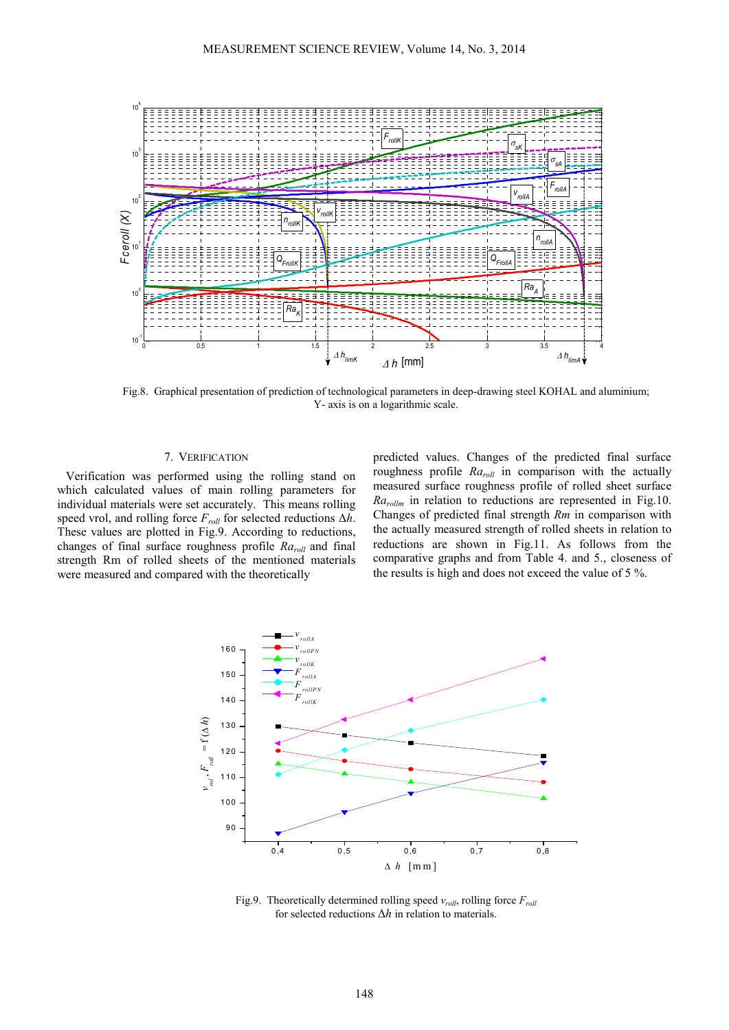

Fig.8. Graphical presentation of prediction of technological parameters in deep-drawing steel KOHAL and aluminium; Y- axis is on a logarithmic scale.

## 7. VERIFICATION

Verification was performed using the rolling stand on which calculated values of main rolling parameters for individual materials were set accurately. This means rolling speed vrol, and rolling force *F*<sub>*roll*</sub> for selected reductions ∆*h*. These values are plotted in Fig.9. According to reductions, changes of final surface roughness profile *Raroll* and final strength Rm of rolled sheets of the mentioned materials were measured and compared with the theoretically

predicted values. Changes of the predicted final surface roughness profile *Raroll* in comparison with the actually measured surface roughness profile of rolled sheet surface *Rarollm* in relation to reductions are represented in Fig.10. Changes of predicted final strength *Rm* in comparison with the actually measured strength of rolled sheets in relation to reductions are shown in Fig.11. As follows from the comparative graphs and from Table 4. and 5., closeness of the results is high and does not exceed the value of 5 %.



Fig.9. Theoretically determined rolling speed *vroll*, rolling force *Froll* for selected reductions ∆*h* in relation to materials.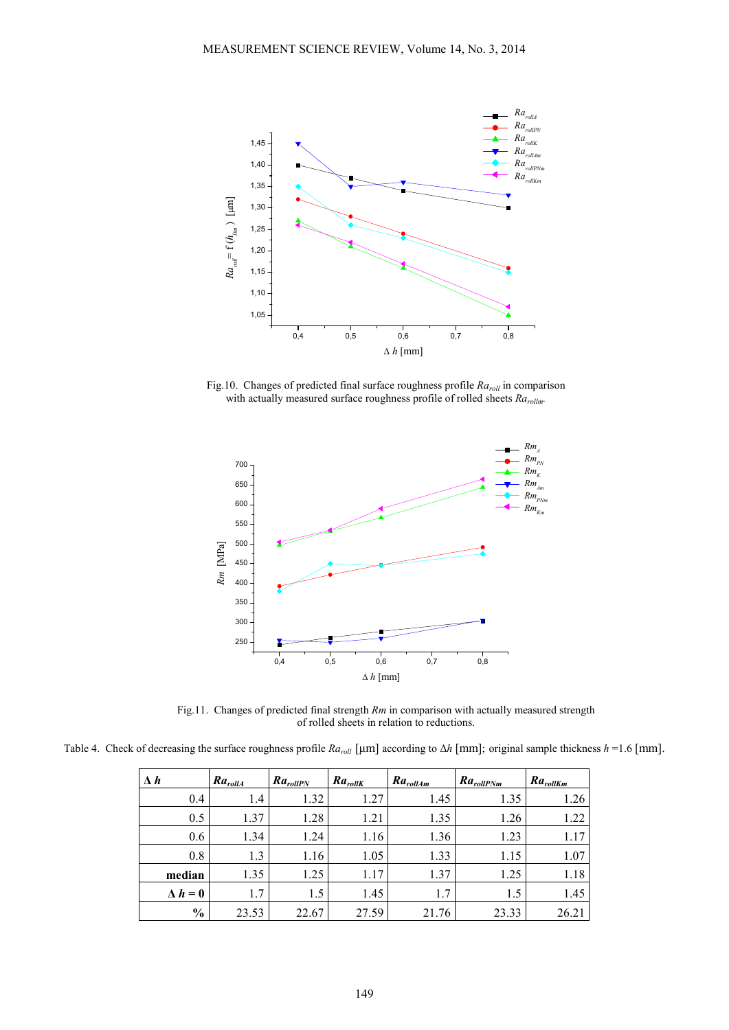

Fig.10. Changes of predicted final surface roughness profile  $Ra_{roll}$  in comparison with actually measured surface roughness profile of rolled sheets *Rarollm.*



Fig.11. Changes of predicted final strength *Rm* in comparison with actually measured strength of rolled sheets in relation to reductions.

Table 4. Check of decreasing the surface roughness profile  $Ra_{roll}$  [µm] according to  $\Delta h$  [mm]; original sample thickness  $h = 1.6$  [mm].

| $\Delta h$     | $Ra_{rollA}$ | $Ra_{rollPN}$ | $Ra_{rollK}$ | $Ra_{roll\_Am}$ | $Ra_{rollPMm}$ | $Ra_{rollKm}$ |
|----------------|--------------|---------------|--------------|-----------------|----------------|---------------|
| 0.4            | 1.4          | 1.32          | 1.27         | 1.45            | 1.35           | 1.26          |
| 0.5            | 1.37         | 1.28          | 1.21         | 1.35            | 1.26           | 1.22          |
| 0.6            | 1.34         | 1.24          | 1.16         | 1.36            | 1.23           | 1.17          |
| 0.8            | 1.3          | 1.16          | 1.05         | 1.33            | 1.15           | 1.07          |
| median         | 1.35         | 1.25          | 1.17         | 1.37            | 1.25           | 1.18          |
| $\Delta h = 0$ | 1.7          | 1.5           | 1.45         | 1.7             | 1.5            | 1.45          |
| $\frac{0}{0}$  | 23.53        | 22.67         | 27.59        | 21.76           | 23.33          | 26.21         |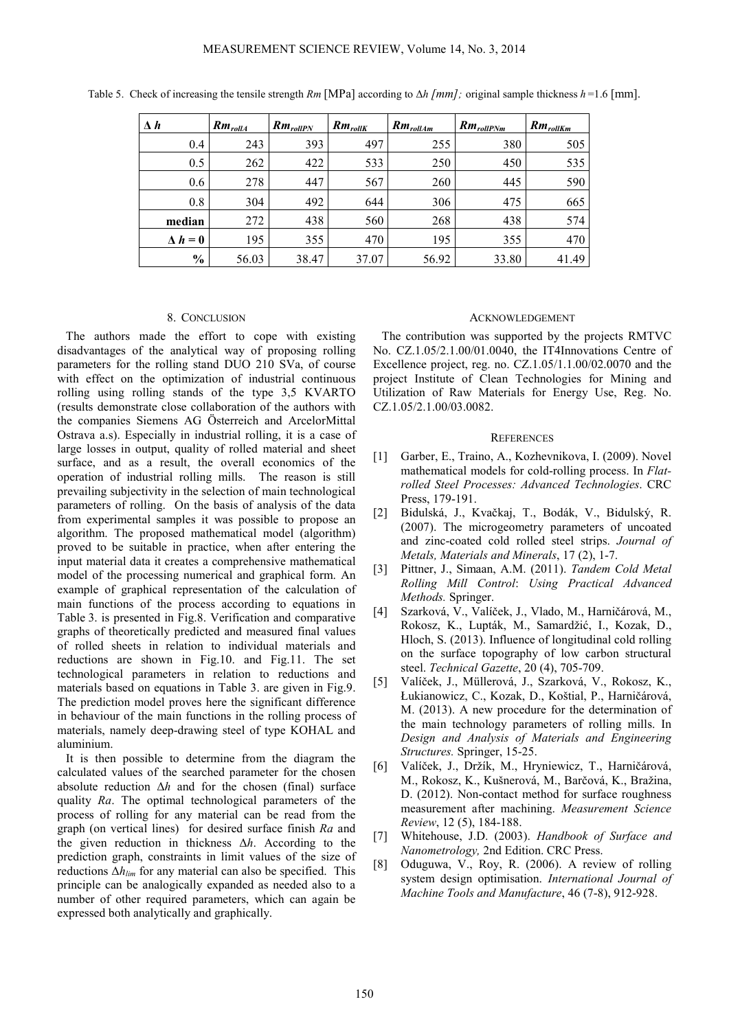| $\Delta h$     | $Rm_{rollA}$ | $Rm_{rollPN}$ | $Rm_{rollK}$ | $Rm_{rollAm}$ | $Rm_{rollPMm}$ | $Rm_{rollKm}$ |
|----------------|--------------|---------------|--------------|---------------|----------------|---------------|
| 0.4            | 243          | 393           | 497          | 255           | 380            | 505           |
| 0.5            | 262          | 422           | 533          | 250           | 450            | 535           |
| 0.6            | 278          | 447           | 567          | 260           | 445            | 590           |
| 0.8            | 304          | 492           | 644          | 306           | 475            | 665           |
| median         | 272          | 438           | 560          | 268           | 438            | 574           |
| $\Delta h = 0$ | 195          | 355           | 470          | 195           | 355            | 470           |
| $\frac{0}{0}$  | 56.03        | 38.47         | 37.07        | 56.92         | 33.80          | 41.49         |

Table 5. Check of increasing the tensile strength *Rm* [MPa] according to ∆*h* [*mm*]*;* original sample thickness *h* =1.6 [mm].

#### 8. CONCLUSION

The authors made the effort to cope with existing disadvantages of the analytical way of proposing rolling parameters for the rolling stand DUO 210 SVa, of course with effect on the optimization of industrial continuous rolling using rolling stands of the type 3,5 KVARTO (results demonstrate close collaboration of the authors with the companies Siemens AG Österreich and ArcelorMittal Ostrava a.s). Especially in industrial rolling, it is a case of large losses in output, quality of rolled material and sheet surface, and as a result, the overall economics of the operation of industrial rolling mills. The reason is still prevailing subjectivity in the selection of main technological parameters of rolling. On the basis of analysis of the data from experimental samples it was possible to propose an algorithm. The proposed mathematical model (algorithm) proved to be suitable in practice, when after entering the input material data it creates a comprehensive mathematical model of the processing numerical and graphical form. An example of graphical representation of the calculation of main functions of the process according to equations in Table 3. is presented in Fig.8. Verification and comparative graphs of theoretically predicted and measured final values of rolled sheets in relation to individual materials and reductions are shown in Fig.10. and Fig.11. The set technological parameters in relation to reductions and materials based on equations in Table 3. are given in Fig.9. The prediction model proves here the significant difference in behaviour of the main functions in the rolling process of materials, namely deep-drawing steel of type KOHAL and aluminium.

It is then possible to determine from the diagram the calculated values of the searched parameter for the chosen absolute reduction ∆*h* and for the chosen (final) surface quality *Ra*. The optimal technological parameters of the process of rolling for any material can be read from the graph (on vertical lines) for desired surface finish *Ra* and the given reduction in thickness ∆*h*. According to the prediction graph, constraints in limit values of the size of reductions ∆*hlim* for any material can also be specified. This principle can be analogically expanded as needed also to a number of other required parameters, which can again be expressed both analytically and graphically.

#### ACKNOWLEDGEMENT

The contribution was supported by the projects RMTVC No. CZ.1.05/2.1.00/01.0040, the IT4Innovations Centre of Excellence project, reg. no. CZ.1.05/1.1.00/02.0070 and the project Institute of Clean Technologies for Mining and Utilization of Raw Materials for Energy Use, Reg. No. CZ.1.05/2.1.00/03.0082.

### **REFERENCES**

- [1] Garber, E., Traino, A., Kozhevnikova, I. (2009). Novel mathematical models for cold-rolling process. In *Flatrolled Steel Processes: Advanced Technologies*. CRC Press, 179-191.
- [2] Bidulská, J., Kvačkaj, T., Bodák, V., Bidulský, R. (2007). The microgeometry parameters of uncoated and zinc-coated cold rolled steel strips. *Journal of Metals, Materials and Minerals*, 17 (2), 1-7.
- [3] Pittner, J., Simaan, A.M. (2011). *Tandem Cold Metal Rolling Mill Control*: *Using Practical Advanced Methods.* Springer.
- [4] Szarková, V., Valíček, J., Vlado, M., Harničárová, M., Rokosz, K., Lupták, M., Samardžić, I., Kozak, D., Hloch, S. (2013). Influence of longitudinal cold rolling on the surface topography of low carbon structural steel. *Technical Gazette*, 20 (4), 705-709.
- [5] Valíček, J., Müllerová, J., Szarková, V., Rokosz, K., Łukianowicz, C., Kozak, D., Koštial, P., Harničárová, M. (2013). A new procedure for the determination of the main technology parameters of rolling mills. In *Design and Analysis of Materials and Engineering Structures.* Springer, 15-25.
- [6] Valíček, J., Držík, M., Hryniewicz, T., Harničárová, M., Rokosz, K., Kušnerová, M., Barčová, K., Bražina, D. (2012). Non-contact method for surface roughness measurement after machining. *Measurement Science Review*, 12 (5), 184-188.
- [7] Whitehouse, J.D. (2003). *Handbook of Surface and Nanometrology,* 2nd Edition. CRC Press.
- [8] Oduguwa, V., Roy, R. (2006). A review of rolling system design optimisation. *International Journal of Machine Tools and Manufacture*, 46 (7-8), 912-928.